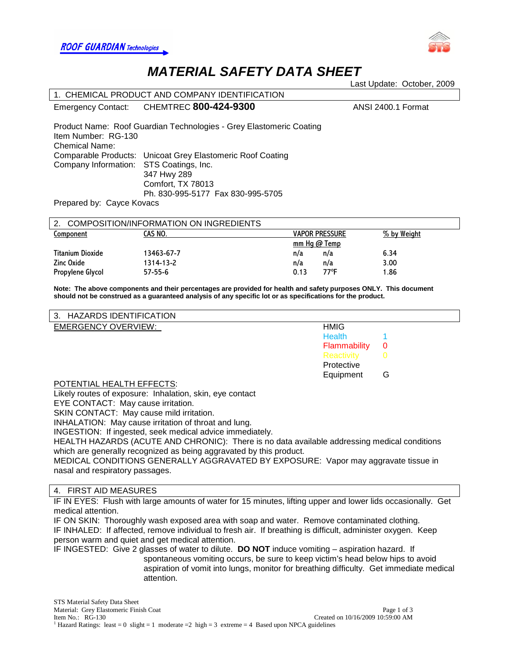



# *MATERIAL SAFETY DATA SHEET*

Last Update: October, 2009

|                                           | 1. CHEMICAL PRODUCT AND COMPANY IDENTIFICATION                      |                       |                    |  |  |
|-------------------------------------------|---------------------------------------------------------------------|-----------------------|--------------------|--|--|
|                                           | Emergency Contact: CHEMTREC 800-424-9300                            |                       | ANSI 2400.1 Format |  |  |
| Item Number: RG-130<br>Chemical Name:     | Product Name: Roof Guardian Technologies - Grey Elastomeric Coating |                       |                    |  |  |
|                                           | Comparable Products: Unicoat Grey Elastomeric Roof Coating          |                       |                    |  |  |
| Company Information: STS Coatings, Inc.   |                                                                     |                       |                    |  |  |
|                                           | 347 Hwy 289                                                         |                       |                    |  |  |
|                                           | Comfort, TX 78013                                                   |                       |                    |  |  |
|                                           | Ph. 830-995-5177 Fax 830-995-5705                                   |                       |                    |  |  |
| Prepared by: Cayce Kovacs                 |                                                                     |                       |                    |  |  |
|                                           |                                                                     |                       |                    |  |  |
| 2. COMPOSITION/INFORMATION ON INGREDIENTS |                                                                     |                       |                    |  |  |
| Component                                 | CAS NO.                                                             | <b>VAPOR PRESSURE</b> | % by Weight        |  |  |

| Component        | CAS NO.    | <b>VAPOR PRESSURE</b> | % by Weight |  |
|------------------|------------|-----------------------|-------------|--|
|                  |            | mm Hq $@$ Temp        |             |  |
| Titanium Dioxide | 13463-67-7 | n/a<br>n/a            | 6.34        |  |
| Zinc Oxide       | 1314-13-2  | n/a<br>n/a            | 3.00        |  |
| Propylene Glycol | 57-55-6    | 77°F<br>0.13          | 1.86        |  |

**Note: The above components and their percentages are provided for health and safety purposes ONLY. This document should not be construed as a guaranteed analysis of any specific lot or as specifications for the product.**

| 3. HAZARDS IDENTIFICATION  |               |   |
|----------------------------|---------------|---|
| <b>EMERGENCY OVERVIEW:</b> | <b>HMIG</b>   |   |
|                            | <b>Health</b> |   |
|                            | Flammability  | 0 |
|                            | Reactivity    |   |
|                            | Protective    |   |
|                            | Equipment     | G |
| DOTENTIAL UF ALTH EFFECTO. |               |   |

POTENTIAL HEALTH EFFECTS:

Likely routes of exposure: Inhalation, skin, eye contact

EYE CONTACT: May cause irritation.

SKIN CONTACT: May cause mild irritation.

INHALATION: May cause irritation of throat and lung.

INGESTION: If ingested, seek medical advice immediately.

HEALTH HAZARDS (ACUTE AND CHRONIC): There is no data available addressing medical conditions which are generally recognized as being aggravated by this product.

MEDICAL CONDITIONS GENERALLY AGGRAVATED BY EXPOSURE: Vapor may aggravate tissue in nasal and respiratory passages.

# 4. FIRST AID MEASURES

IF IN EYES: Flush with large amounts of water for 15 minutes, lifting upper and lower lids occasionally. Get medical attention.

IF ON SKIN: Thoroughly wash exposed area with soap and water. Remove contaminated clothing. IF INHALED: If affected, remove individual to fresh air. If breathing is difficult, administer oxygen. Keep person warm and quiet and get medical attention.

IF INGESTED: Give 2 glasses of water to dilute. **DO NOT** induce vomiting – aspiration hazard. If spontaneous vomiting occurs, be sure to keep victim's head below hips to avoid aspiration of vomit into lungs, monitor for breathing difficulty. Get immediate medical attention.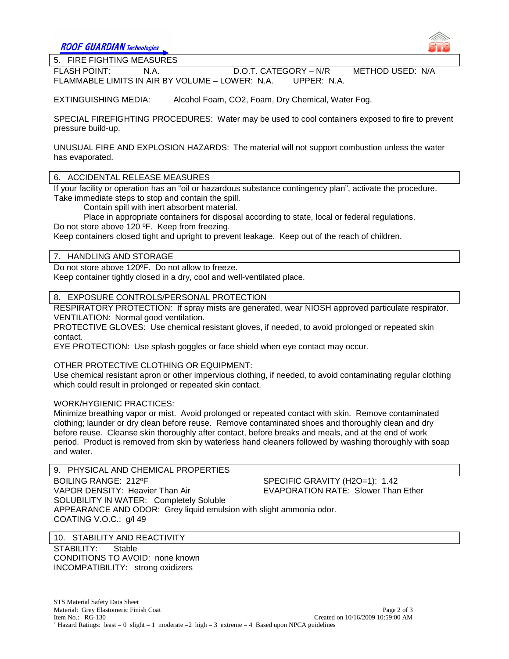**ROOF GUARDIAN Technologies** 



 $\overline{a}$ 

5. FIRE FIGHTING MEASURES

FLASH POINT: N.A. D.O.T. CATEGORY – N/R METHOD USED: N/A FLAMMABLE LIMITS IN AIR BY VOLUME – LOWER: N.A. UPPER: N.A.

EXTINGUISHING MEDIA: Alcohol Foam, CO2, Foam, Dry Chemical, Water Fog.

SPECIAL FIREFIGHTING PROCEDURES: Water may be used to cool containers exposed to fire to prevent pressure build-up.

UNUSUAL FIRE AND EXPLOSION HAZARDS: The material will not support combustion unless the water has evaporated.

6. ACCIDENTAL RELEASE MEASURES

If your facility or operation has an "oil or hazardous substance contingency plan", activate the procedure. Take immediate steps to stop and contain the spill.

Contain spill with inert absorbent material.

Place in appropriate containers for disposal according to state, local or federal regulations. Do not store above 120 ºF. Keep from freezing.

Keep containers closed tight and upright to prevent leakage. Keep out of the reach of children.

# 7. HANDLING AND STORAGE

Do not store above 120ºF. Do not allow to freeze. Keep container tightly closed in a dry, cool and well-ventilated place.

8. EXPOSURE CONTROLS/PERSONAL PROTECTION

RESPIRATORY PROTECTION: If spray mists are generated, wear NIOSH approved particulate respirator. VENTILATION: Normal good ventilation.

PROTECTIVE GLOVES: Use chemical resistant gloves, if needed, to avoid prolonged or repeated skin contact.

EYE PROTECTION: Use splash goggles or face shield when eye contact may occur.

OTHER PROTECTIVE CLOTHING OR EQUIPMENT:

Use chemical resistant apron or other impervious clothing, if needed, to avoid contaminating regular clothing which could result in prolonged or repeated skin contact.

# WORK/HYGIENIC PRACTICES:

Minimize breathing vapor or mist. Avoid prolonged or repeated contact with skin. Remove contaminated clothing; launder or dry clean before reuse. Remove contaminated shoes and thoroughly clean and dry before reuse. Cleanse skin thoroughly after contact, before breaks and meals, and at the end of work period. Product is removed from skin by waterless hand cleaners followed by washing thoroughly with soap and water.

# 9. PHYSICAL AND CHEMICAL PROPERTIES

BOILING RANGE: 212ºF SPECIFIC GRAVITY (H2O=1): 1.42 VAPOR DENSITY: Heavier Than Air **EVAPORATION RATE: Slower Than Ether** SOLUBILITY IN WATER: Completely Soluble APPEARANCE AND ODOR: Grey liquid emulsion with slight ammonia odor. COATING V.O.C.: g/l 49

# 10. STABILITY AND REACTIVITY

STABILITY: Stable CONDITIONS TO AVOID: none known INCOMPATIBILITY: strong oxidizers